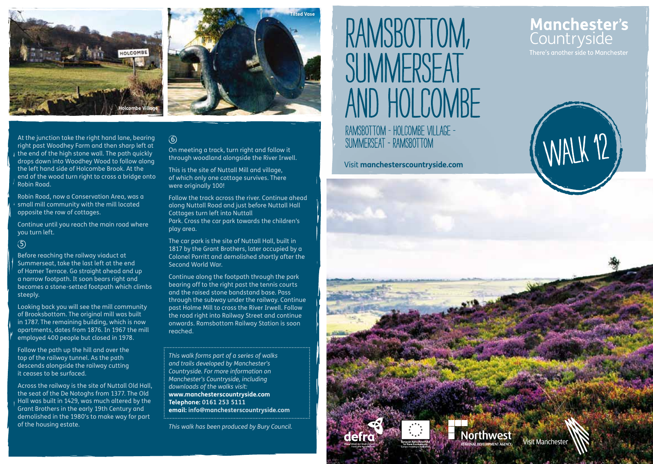



#### At the junction take the right hand lane, bearing  $\circled{6}$  and  $\circled{6}$  and  $\circled{7}$  and  $\circled{7}$  and  $\circled{8}$  and  $\circled{7}$  and  $\circled{7}$  and  $\circled{7}$  and  $\circled{7}$  and  $\circled{7}$  and  $\circled{7}$  and  $\circled{7}$  and  $\circled{7}$  and  $\$ right past Woodhey Farm and then sharp left at the end of the high stone wall. The path quickly drops down into Woodhey Wood to follow along the left hand side of Holcombe Brook. At the end of the wood turn right to cross a bridge onto

Robin Road, now a Conservation Area, was a small mill community with the mill located opposite the row of cottages.

Continue until you reach the main road where you turn left.

#### 5

Robin Road.

Before reaching the railway viaduct at Summerseat, take the last left at the end of Hamer Terrace. Go straight ahead and up a narrow footpath. It soon bears right and becomes a stone-setted footpath which climbs steeply.

Looking back you will see the mill community of Brooksbottom. The original mill was built in 1787. The remaining building, which is now apartments, dates from 1876. In 1967 the mill employed 400 people but closed in 1978.

Follow the path up the hill and over the top of the railway tunnel. As the path descends alongside the railway cutting it ceases to be surfaced.

Across the railway is the site of Nuttall Old Hall, the seat of the De Notoghs from 1377. The Old Hall was built in 1429, was much altered by the Grant Brothers in the early 19th Century and demolished in the 1980's to make way for part of the housing estate.

#### $\odot$

On meeting a track, turn right and follow it through woodland alongside the River Irwell.

This is the site of Nuttall Mill and village, of which only one cottage survives. There were originally 100!

Follow the track across the river. Continue ahead along Nuttall Road and just before Nuttall Hall Cottages turn left into Nuttall Park. Cross the car park towards the children's play area.

The car park is the site of Nuttall Hall, built in 1817 by the Grant Brothers, later occupied by a Colonel Porritt and demolished shortly after the Second World War.

Continue along the footpath through the park bearing off to the right past the tennis courts and the raised stone bandstand base. Pass through the subway under the railway. Continue past Holme Mill to cross the River Irwell. Follow the road right into Railway Street and continue onwards. Ramsbottom Railway Station is soon reached.

*This walk forms part of a series of walks and trails developed by Manchester's Countryside. For more information on Manchester's Countryside, including downloads of the walks visit:* **www.manchesterscountryside.com Telephone: 0161 253 5111 email: info@manchesterscountryside.com**

*This walk has been produced by Bury Council.*

# RAMSBOTTOM, SUMMERSFAT and holcombe Ramsbottom - Holcombe Village -

# Manchester's Countryside

There's another side to Manchester